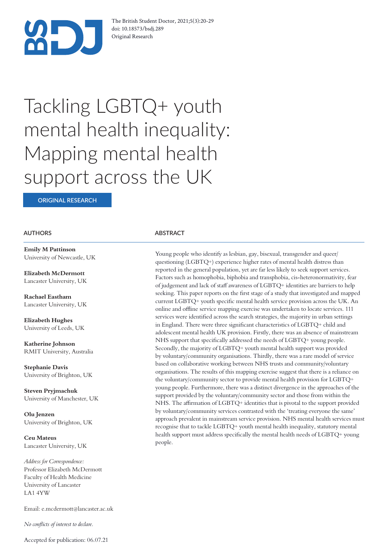

The British Student Doctor, 2021;5(3):20-29 doi: 10.18573/bsdj.289 Original Research

# Tackling LGBTQ+ youth mental health inequality: Mapping mental health support across the UK

**ORIGINAL RESEARCH**

#### **AUTHORS ABSTRACT**

**Emily M Pattinson** University of Newcastle, UK

**Elizabeth McDermott** Lancaster University, UK

**Rachael Eastham** Lancaster University, UK

**Elizabeth Hughes** University of Leeds, UK

**Katherine Johnson** RMIT University, Australia

**Stephanie Davis** University of Brighton, UK

**Steven Pryjmachuk** University of Manchester, UK

**Olu Jenzen** University of Brighton, UK

**Ceu Mateus** Lancaster University, UK

*Address for Correspondence:*  Professor Elizabeth McDermott Faculty of Health Medicine University of Lancaster LA1 4YW

Email: e.mcdermott@lancaster.ac.uk

*No con!icts of interest to declare.*

Young people who identify as lesbian, gay, bisexual, transgender and queer/ questioning (LGBTQ+) experience higher rates of mental health distress than reported in the general population, yet are far less likely to seek support services. Factors such as homophobia, biphobia and transphobia, cis-heteronormativity, fear of judgement and lack of staff awareness of  $LGBTQ+$  identities are barriers to help seeking. This paper reports on the first stage of a study that investigated and mapped current LGBTQ+ youth specific mental health service provision across the UK. An online and offline service mapping exercise was undertaken to locate services. 111 services were identified across the search strategies, the majority in urban settings in England. There were three significant characteristics of LGBTQ+ child and adolescent mental health UK provision. Firstly, there was an absence of mainstream NHS support that specifically addressed the needs of LGBTQ+ young people. Secondly, the majority of LGBTQ+ youth mental health support was provided by voluntary/community organisations. Thirdly, there was a rare model of service based on collaborative working between NHS trusts and community/voluntary organisations. The results of this mapping exercise suggest that there is a reliance on the voluntary/community sector to provide mental health provision for LGBTQ+ young people. Furthermore, there was a distinct divergence in the approaches of the support provided by the voluntary/community sector and those from within the NHS. The affirmation of LGBTQ+ identities that is pivotal to the support provided by voluntary/community services contrasted with the 'treating everyone the same' approach prevalent in mainstream service provision. NHS mental health services must recognise that to tackle LGBTQ+ youth mental health inequality, statutory mental health support must address specifically the mental health needs of LGBTQ+ young people.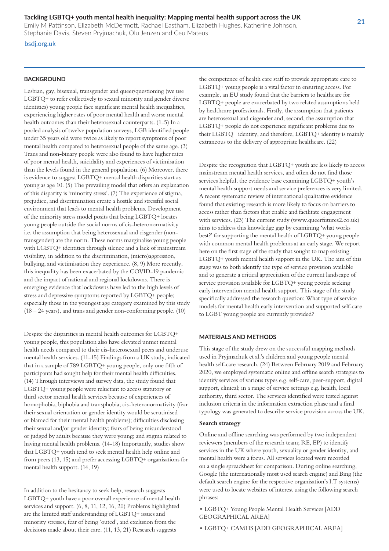Emily M Pattinson, Elizabeth McDermott, Rachael Eastham, Elizabeth Hughes, Katherine Johnson, Stephanie Davis, Steven Pryjmachuk, Olu Jenzen and Ceu Mateus

#### bsdj.org.uk

### **BACKGROUND**

Lesbian, gay, bisexual, transgender and queer/questioning (we use LGBTQ+ to refer collectively to sexual minority and gender diverse identities) young people face significant mental health inequalities, experiencing higher rates of poor mental health and worse mental health outcomes than their heterosexual counterparts. (1-5) In a pooled analysis of twelve population surveys, LGB identified people under 35 years old were twice as likely to report symptoms of poor mental health compared to heterosexual people of the same age. (3) Trans and non-binary people were also found to have higher rates of poor mental health, suicidality and experiences of victimisation than the levels found in the general population. (6) Moreover, there is evidence to suggest LGBTQ+ mental health disparities start as young as age 10. (5) The prevailing model that offers an explanation of this disparity is 'minority stress'. (7) The experience of stigma, prejudice, and discrimination create a hostile and stressful social environment that leads to mental health problems. Development of the minority stress model posits that being LGBTQ+ locates young people outside the social norms of cis-heteronormativity i.e. the assumption that being heterosexual and cisgender (nontransgender) are the norm. These norms marginalise young people with LGBTQ+ identities through silence and a lack of mainstream visibility, in addition to the discrimination, (micro)aggression, bullying, and victimisation they experience. (8, 9) More recently, this inequality has been exacerbated by the COVID-19 pandemic and the impact of national and regional lockdowns. There is emerging evidence that lockdowns have led to the high levels of stress and depressive symptoms reported by LGBTQ+ people; especially those in the youngest age category examined by this study (18 – 24 years), and trans and gender non-conforming people. (10)

Despite the disparities in mental health outcomes for LGBTQ+ young people, this population also have elevated unmet mental health needs compared to their cis-heterosexual peers and underuse mental health services. (11-15) Findings from a UK study, indicated that in a sample of 789 LGBTQ+ young people, only one fifth of participants had sought help for their mental health difficulties. (14) Through interviews and survey data, the study found that LGBTQ+ young people were reluctant to access statutory or third sector mental health services because of experiences of homophobia, biphobia and transphobia; cis-heteronormativity (fear their sexual orientation or gender identity would be scrutinised or blamed for their mental health problems); difficulties disclosing their sexual and/or gender identity; fears of being misunderstood or judged by adults because they were young; and stigma related to having mental health problems. (14-18) Importantly, studies show that LGBTQ+ youth tend to seek mental health help online and from peers (13, 15) and prefer accessing LGBTQ+ organisations for mental health support. (14, 19)

In addition to the hesitancy to seek help, research suggests LGBTQ+ youth have a poor overall experience of mental health services and support. (6, 8, 11, 12, 16, 20) Problems highlighted are the limited staff understanding of LGBTQ+ issues and minority stresses, fear of being 'outed', and exclusion from the decisions made about their care. (11, 13, 21) Research suggests

the competence of health care staff to provide appropriate care to LGBTQ+ young people is a vital factor in ensuring access. For example, an EU study found that the barriers to healthcare for LGBTQ+ people are exacerbated by two related assumptions held by healthcare professionals. Firstly, the assumption that patients are heterosexual and cisgender and, second, the assumption that LGBTQ+ people do not experience significant problems due to their LGBTQ+ identity, and therefore, LGBTQ+ identity is mainly extraneous to the delivery of appropriate healthcare. (22)

Despite the recognition that LGBTQ+ youth are less likely to access mainstream mental health services, and often do not find those services helpful, the evidence base examining LGBTQ+ youth's mental health support needs and service preferences is very limited. A recent systematic review of international qualitative evidence found that existing research is more likely to focus on barriers to access rather than factors that enable and facilitate engagement with services. (23) The current study (www.queerfutures2.co.uk) aims to address this knowledge gap by examining 'what works best?' for supporting the mental health of LGBTQ+ young people with common mental health problems at an early stage. We report here on the first stage of the study that sought to map existing LGBTQ+ youth mental health support in the UK. The aim of this stage was to both identify the type of service provision available and to generate a critical appreciation of the current landscape of service provision available for LGBTQ+ young people seeking early intervention mental health support. This stage of the study specifically addressed the research question: What type of service models for mental health early intervention and supported self-care to LGBT young people are currently provided?

#### **MATERIALS AND METHODS**

This stage of the study drew on the successful mapping methods used in Pryjmachuk et al.'s children and young people mental health self-care research. (24) Between February 2019 and February 2020, we employed systematic online and offline search strategies to identify services of various types e.g. self-care, peer-support, digital support, clinical; in a range of service settings e.g. health, local authority, third sector. The services identified were tested against inclusion criteria in the information extraction phase and a final typology was generated to describe service provision across the UK.

#### **Search strategy**

Online and offline searching was performed by two independent reviewers (members of the research team; RE, EP) to identify services in the UK where youth, sexuality or gender identity, and mental health were a focus. All services located were recorded on a single spreadsheet for comparison. During online searching, Google (the internationally most used search engine) and Bing (the default search engine for the respective organisation's I.T systems) were used to locate websites of interest using the following search phrases:

• LGBTQ+ Young People Mental Health Services [ADD GEOGRAPHICAL AREA]

• LGBTQ+ CAMHS [ADD GEOGRAPHICAL AREA]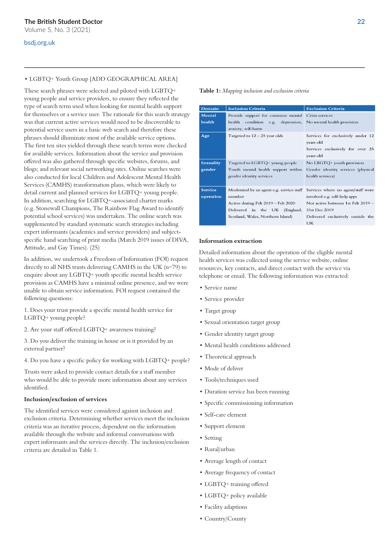#### bsdj.org.uk

#### • LGBTQ+ Youth Group [ADD GEOGRAPHICAL AREA]

These search phrases were selected and piloted with LGBTQ+ young people and service providers, to ensure they reflected the type of search term used when looking for mental health support for themselves or a service user. The rationale for this search strategy was that current active services would need to be discoverable to potential service users in a basic web search and therefore these phrases should illuminate most of the available service options. The first ten sites yielded through these search terms were checked for available services. Information about the service and provision offered was also gathered through specific websites, forums, and blogs; and relevant social networking sites. Online searches were also conducted for local Children and Adolescent Mental Health Services (CAMHS) transformation plans, which were likely to detail current and planned services for LGBTQ+ young people. In addition, searching for LGBTQ+-associated charter marks (e.g. Stonewall Champions, The Rainbow Flag Award to identify potential school services) was undertaken. The online search was supplemented by standard systematic search strategies including expert informants (academics and service providers) and subjectspecific hand searching of print media (March 2019 issues of DIVA, Attitude, and Gay Times). (25)

In addition, we undertook a Freedom of Information (FOI) request directly to all NHS trusts delivering CAMHS in the UK (n=79) to enquire about any LGBTQ+ youth specific mental health service provision as CAMHS have a minimal online presence, and we were unable to obtain service information. FOI request contained the following questions:

1. Does your trust provide a specific mental health service for LGBTQ+ young people?

2. Are your staff offered LGBTQ+ awareness training?

3. Do you deliver the training in house or is it provided by an external partner?

4. Do you have a specific policy for working with LGBTQ+ people?

Trusts were asked to provide contact details for a staff member who would be able to provide more information about any services identified.

#### **Inclusion/exclusion of services**

The identified services were considered against inclusion and exclusion criteria. Determining whether services meet the inclusion criteria was an iterative process, dependent on the information available through the website and informal conversations with expert informants and the services directly. The inclusion/exclusion criteria are detailed in Table 1.

**Table 1:** *Mapping inclusion and exclusion criteria*

| Domain           | <b>Inclusion Criteria</b>                                                             | <b>Exclusion Criteria</b>                                                                       |
|------------------|---------------------------------------------------------------------------------------|-------------------------------------------------------------------------------------------------|
| <b>Mental</b>    | Provide support for common mental Crisis services                                     |                                                                                                 |
| health           | health<br>condition e.g. depression, No mental health provision<br>anxiety, self-harm |                                                                                                 |
| Age              | Targeted to $12 - 25$ year olds                                                       | Services for exclusively under 12<br>years old<br>Services exclusively for over 25<br>years old |
| <b>Sexuality</b> | Targeted to LGBTQ+ young people                                                       | No LBGTQ+ youth provision                                                                       |
| gender           | Youth mental health support within                                                    | Gender identity services (physical                                                              |
|                  | gender identity services                                                              | health services)                                                                                |
| <b>Service</b>   | Moderated by an agent e.g. service staff<br>Services where no agent/staff were        |                                                                                                 |
| operation        | member                                                                                | involved e.g. self-help apps                                                                    |
|                  | Active during Feb 2019 - Feb 2020                                                     | Not active between 1st Feb 2019 -                                                               |
|                  | Delivered in the UK (England,                                                         | 31st Dec 2019                                                                                   |
|                  | Scotland, Wales, Northern Island)                                                     | Delivered exclusively outside the                                                               |
|                  |                                                                                       | <b>UK</b>                                                                                       |

#### **Information extraction**

Detailed information about the operation of the eligible mental health services was collected using the service website, online resources, key contacts, and direct contact with the service via telephone or email. The following information was extracted:

- Service name
- Service provider
- Target group
- Sexual orientation target group
- Gender identity target group
- Mental health conditions addressed
- Theoretical approach
- Mode of deliver
- Tools/techniques used
- Duration service has been running
- Specific commissioning information
- Self-care element
- Support element
- Setting
- Rural/urban
- Average length of contact
- Average frequency of contact
- LGBTQ+ training offered
- LGBTQ+ policy available
- Facility adaptions
- Country/County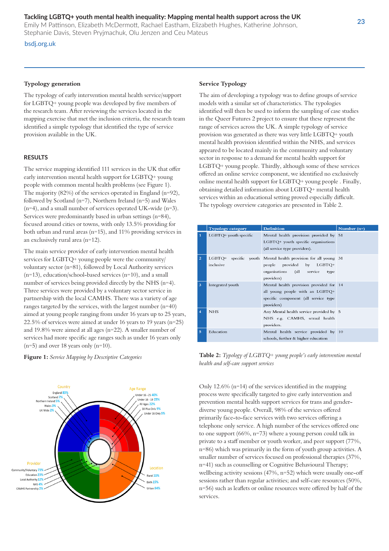Emily M Pattinson, Elizabeth McDermott, Rachael Eastham, Elizabeth Hughes, Katherine Johnson, Stephanie Davis, Steven Pryjmachuk, Olu Jenzen and Ceu Mateus

#### bsdj.org.uk

#### **Typology generation**

The typology of early intervention mental health service/support for LGBTQ+ young people was developed by five members of the research team. After reviewing the services located in the mapping exercise that met the inclusion criteria, the research team identified a simple typology that identified the type of service provision available in the UK.

#### **RESULTS**

The service mapping identified 111 services in the UK that offer early intervention mental health support for LGBTQ+ young people with common mental health problems (see Figure 1). The majority (82%) of the services operated in England (n=92), followed by Scotland (n=7), Northern Ireland (n=5) and Wales (n=4), and a small number of services operated UK-wide (n=3). Services were predominantly based in urban settings (n=84), focused around cities or towns, with only 13.5% providing for both urban and rural areas (n=15), and 11% providing services in an exclusively rural area (n=12).

The main service provider of early intervention mental health services for LGBTQ+ young people were the community/ voluntary sector (n=81), followed by Local Authority services  $(n=13)$ , education/school-based services  $(n=10)$ , and a small number of services being provided directly by the NHS (n=4). Three services were provided by a voluntary sector service in partnership with the local CAMHS. There was a variety of age ranges targeted by the services, with the largest number (n=40) aimed at young people ranging from under 16 years up to 25 years, 22.5% of services were aimed at under 16 years to 19 years (n=25) and 19.8% were aimed at all ages (n=22). A smaller number of services had more specific age ranges such as under 16 years only  $(n=5)$  and over 18 years only  $(n=10)$ .

#### **Figure 1:** *Service Mapping by Descriptive Categories*



#### **Service Typology**

The aim of developing a typology was to define groups of service models with a similar set of characteristics. The typologies identified will then be used to inform the sampling of case studies in the Queer Futures 2 project to ensure that these represent the range of services across the UK. A simple typology of service provision was generated as there was very little LGBTQ+ youth mental health provision identified within the NHS, and services appeared to be located mainly in the community and voluntary sector in response to a demand for mental health support for LGBTQ+ young people. Thirdly, although some of these services offered an online service component, we identified no exclusively online mental health support for LGBTQ+ young people . Finally, obtaining detailed information about LGBTQ+ mental health services within an educational setting proved especially difficult. The typology overview categories are presented in Table 2.

|                         | <b>Typology category</b> | <b>Definition</b>                                                                                                                        | Number $(n=)$ |
|-------------------------|--------------------------|------------------------------------------------------------------------------------------------------------------------------------------|---------------|
| 1                       | LGBTQ+ youth specific    | Mental health provision provided by 51<br>$LGBTQ+$ youth specific organisations<br>(all service type providers).                         |               |
| $\overline{2}$          | LGBTQ+<br>inclusive      | specific youth Mental health provision for all young 31<br>people provided by LGBTQ+<br>organisations (all service<br>type<br>providers) |               |
| 3                       | Integrated youth         | Mental health provision provided for 14<br>all young people with an LGBTQ+<br>specific component (all service type<br>providers)         |               |
| $\overline{\mathbf{A}}$ | <b>NHS</b>               | Any Mental health service provided by 5<br>NHS e.g. CAMHS, sexual health<br>providers.                                                   |               |
| $\overline{5}$          | Education                | Mental health service provided by 10<br>schools, further & higher education                                                              |               |

**Table 2:** *Typology of LGBTQ+ young people's early intervention mental health and self-care support services*

Only  $12.6\%$  (n=14) of the services identified in the mapping process were specifically targeted to give early intervention and prevention mental health support services for trans and genderdiverse young people. Overall, 98% of the services offered primarily face-to-face services with two services offering a telephone only service. A high number of the services offered one to one support (66%, n=73) where a young person could talk in private to a staff member or youth worker, and peer support (77%, n=86) which was primarily in the form of youth group activities. A smaller number of services focused on professional therapies (37%, n=41) such as counselling or Cognitive Behavioural Therapy; wellbeing activity sessions  $(47\%, n=52)$  which were usually one-off sessions rather than regular activities; and self-care resources (50%, n=56) such as leaflets or online resources were offered by half of the services.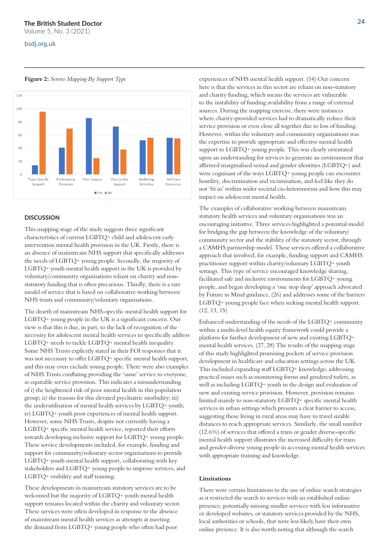## **The Britsh Student Doctor**

Volume 5, No. 3 (2021)

#### bsdj.org.uk

**Figure 2:** *Service Mapping By Support Type*



#### **DISCUSSION**

This mapping stage of the study suggests three significant characteristics of current LGBTQ+ child and adolescent early intervention mental health provision in the UK. Firstly, there is an absence of mainstream NHS support that specifically addresses the needs of LGBTQ+ young people. Secondly, the majority of LGBTQ+ youth mental health support in the UK is provided by voluntary/community organisations reliant on charity and nonstatutory funding that is often precarious. Thirdly, there is a rare model of service that is based on collaborative working between NHS trusts and community/voluntary organisations.

The dearth of mainstream NHS-specific mental health support for  $LGBTO+$  young people in the UK is a significant concern. Our view is that this is due, in part, to the lack of recognition of the necessity for adolescent mental health services to specifically address LGBTQ+ needs to tackle LGBTQ+ mental health inequality. Some NHS Trusts explicitly stated in their FOI responses that it was not necessary to offer LGBTQ+ specific mental health support, and this may even exclude young people. There were also examples of NHS Trusts conflating providing the 'same' service to everyone, as equitable service provision. This indicates a misunderstanding of i) the heightened risk of poor mental health in this population group; ii) the reasons for this elevated psychiatric morbidity; iii) the underutilisation of mental health services by LGBTQ+ youth; iv) LGBTQ+ youth poor experiences of mental health support. However, some NHS Trusts, despite not currently having a LGBTQ+ specific mental health service, reported their efforts towards developing inclusive support for LGBTQ+ young people. These service developments included, for example, funding and support for community/voluntary sector organisations to provide LGBTQ+ youth mental health support, collaborating with key stakeholders and LGBTQ+ young people to improve services, and LGBTQ+ visibility and staff training.

These developments in mainstream statutory services are to be welcomed but the majority of LGBTQ+ youth mental health support remains located within the charity and voluntary sector. These services were often developed in response to the absence of mainstream mental health services as attempts at meeting the demand from LGBTO+ young people who often had poor

experiences of NHS mental health support. (14) Our concern here is that the services in this sector are reliant on non-statutory and charity funding, which means the services are vulnerable to the instability of funding availability from a range of external sources. During the mapping exercise, there were instances where charity-provided services had to dramatically reduce their service provision or even close all together due to loss of funding. However, within the voluntary and community organisations was the expertise to provide appropriate and effective mental health support to LGBTQ+ young people. This was clearly orientated upon an understanding for services to generate an environment that affirmed marginalised sexual and gender identities (LGBTQ+) and were cognisant of the ways LGBTQ+ young people can encounter hostility, discrimination and victimisation, and feel like they do not 'fit in' within wider societal cis-heteronorms and how this may impact on adolescent mental health.

The examples of collaborative working between mainstream statutory health services and voluntary organisations was an encouraging initiative. Three services highlighted a potential model for bridging the gap between the knowledge of the voluntary/ community sector and the stability of the statutory sector, through a CAMHS partnership model. These services offered a collaborative approach that involved, for example, funding support and CAMHS practitioner support within charity/voluntary LGBTQ+ youth settings. This type of service encouraged knowledge sharing, facilitated safe and inclusive environments for LGBTQ+ young people, and began developing a 'one stop shop' approach advocated by Future in Mind guidance, (26) and addresses some of the barriers LGBTQ+ young people face when seeking mental health support. (12, 13, 15)

Enhanced understanding of the needs of the LGBTQ+ community within a multi-level health equity framework could provide a platform for further development of new and existing LGBTQ+ mental health services. (27, 28) The results of the mapping stage of this study highlighted promising pockets of service provision development in healthcare and education settings across the UK. This included expanding staff LGBTQ+ knowledge, addressing practical issues such as monitoring forms and gendered toilets, as well as including LGBTQ+ youth in the design and evaluation of new and existing service provision. However, provision remains limited mainly to non-statutory LGBTQ+ specific mental health services in urban settings which presents a clear barrier to access, suggesting those living in rural areas may have to travel sizable distances to reach appropriate services. Similarly, the small number  $(12.6\%)$  of services that offered a trans or gender diverse-specific mental health support illustrates the increased difficulty for trans and gender-diverse young people in accessing mental health services with appropriate training and knowledge.

#### **Limitations**

There were certain limitations to the use of online search strategies as it restricted the search to services with an established online presence, potentially missing smaller services with less informative or developed websites, or statutory services provided by the NHS, local authorities or schools, that were less likely have their own online presence. It is also worth noting that although the search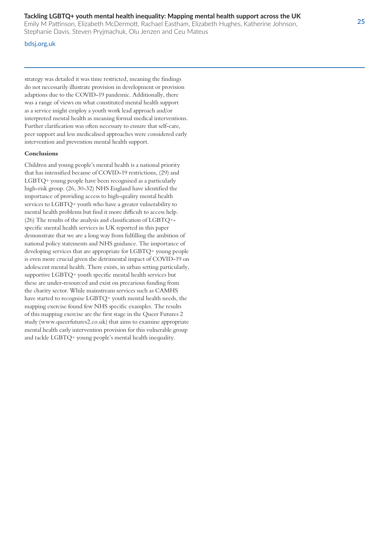Emily M Pattinson, Elizabeth McDermott, Rachael Eastham, Elizabeth Hughes, Katherine Johnson, Stephanie Davis, Steven Pryjmachuk, Olu Jenzen and Ceu Mateus

#### bdsj,org,uk

strategy was detailed it was time restricted, meaning the findings do not necessarily illustrate provision in development or provision adaptions due to the COVID-19 pandemic. Additionally, there was a range of views on what constituted mental health support as a service might employ a youth work lead approach and/or interpreted mental health as meaning formal medical interventions. Further clarification was often necessary to ensure that self-care, peer support and less medicalised approaches were considered early intervention and prevention mental health support.

#### **Conclusions**

Children and young people's mental health is a national priority that has intensified because of COVID-19 restrictions, (29) and LGBTQ+ young people have been recognised as a particularly high-risk group. (26, 30-32) NHS England have identified the importance of providing access to high-quality mental health services to LGBTQ+ youth who have a greater vulnerability to mental health problems but find it more difficult to access help. (26) The results of the analysis and classification of  $LGBTQ$ +specific mental health services in UK reported in this paper demonstrate that we are a long way from fulfilling the ambition of national policy statements and NHS guidance. The importance of developing services that are appropriate for LGBTQ+ young people is even more crucial given the detrimental impact of COVID-19 on adolescent mental health. There exists, in urban setting particularly, supportive LGBTQ+ youth specific mental health services but these are under-resourced and exist on precarious funding from the charity sector. While mainstream services such as CAMHS have started to recognise LGBTQ+ youth mental health needs, the mapping exercise found few NHS specific examples. The results of this mapping exercise are the first stage in the Queer Futures 2 study (www.queerfutures2.co.uk) that aims to examine appropriate mental health early intervention provision for this vulnerable group and tackle LGBTQ+ young people's mental health inequality.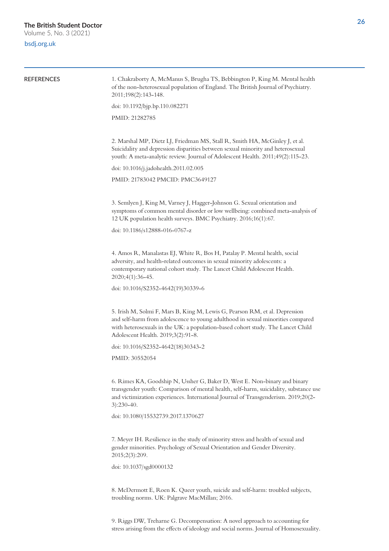Volume 5, No. 3 (2021)

#### bsdj.org.uk

| <b>REFERENCES</b> | 1. Chakraborty A, McManus S, Brugha TS, Bebbington P, King M. Mental health<br>of the non-heterosexual population of England. The British Journal of Psychiatry.<br>2011;198(2):143-148.                                                                                                |  |
|-------------------|-----------------------------------------------------------------------------------------------------------------------------------------------------------------------------------------------------------------------------------------------------------------------------------------|--|
|                   | doi: 10.1192/bjp.bp.110.082271                                                                                                                                                                                                                                                          |  |
|                   | PMID: 21282785                                                                                                                                                                                                                                                                          |  |
|                   | 2. Marshal MP, Dietz LJ, Friedman MS, Stall R, Smith HA, McGinley J, et al.<br>Suicidality and depression disparities between sexual minority and heterosexual<br>youth: A meta-analytic review. Journal of Adolescent Health. 2011;49(2):115-23.                                       |  |
|                   | doi: 10.1016/j.jadohealth.2011.02.005                                                                                                                                                                                                                                                   |  |
|                   | PMID: 21783042 PMCID: PMC3649127                                                                                                                                                                                                                                                        |  |
|                   | 3. Semlyen J, King M, Varney J, Hagger-Johnson G. Sexual orientation and<br>symptoms of common mental disorder or low wellbeing: combined meta-analysis of<br>12 UK population health surveys. BMC Psychiatry. 2016;16(1):67.                                                           |  |
|                   | doi: 10.1186/s12888-016-0767-z                                                                                                                                                                                                                                                          |  |
|                   | 4. Amos R, Manalastas EJ, White R, Bos H, Patalay P. Mental health, social<br>adversity, and health-related outcomes in sexual minority adolescents: a<br>contemporary national cohort study. The Lancet Child Adolescent Health.<br>$2020;4(1):36-45.$                                 |  |
|                   | doi: 10.1016/S2352-4642(19)30339-6                                                                                                                                                                                                                                                      |  |
|                   | 5. Irish M, Solmi F, Mars B, King M, Lewis G, Pearson RM, et al. Depression<br>and self-harm from adolescence to young adulthood in sexual minorities compared<br>with heterosexuals in the UK: a population-based cohort study. The Lancet Child<br>Adolescent Health. 2019;3(2):91-8. |  |
|                   | doi: 10.1016/S2352-4642(18)30343-2                                                                                                                                                                                                                                                      |  |
|                   | PMID: 30552054                                                                                                                                                                                                                                                                          |  |
|                   | 6. Rimes KA, Goodship N, Ussher G, Baker D, West E. Non-binary and binary<br>transgender youth: Comparison of mental health, self-harm, suicidality, substance use<br>and victimization experiences. International Journal of Transgenderism. 2019;20(2-<br>$3):230-40.$                |  |
|                   | doi: 10.1080/15532739.2017.1370627                                                                                                                                                                                                                                                      |  |
|                   | 7. Meyer IH. Resilience in the study of minority stress and health of sexual and<br>gender minorities. Psychology of Sexual Orientation and Gender Diversity.<br>2015;2(3):209.                                                                                                         |  |
|                   | doi: 10.1037/sgd0000132                                                                                                                                                                                                                                                                 |  |
|                   | 8. McDermott E, Roen K. Queer youth, suicide and self-harm: troubled subjects,                                                                                                                                                                                                          |  |

troubling norms. UK: Palgrave MacMillan; 2016.

9. Riggs DW, Treharne G. Decompensation: A novel approach to accounting for stress arising from the effects of ideology and social norms. Journal of Homosexuality.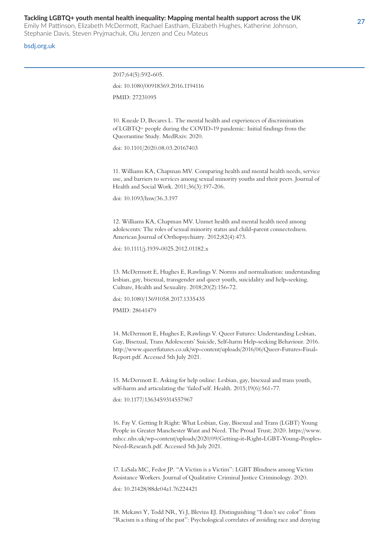Emily M Pattinson, Elizabeth McDermott, Rachael Eastham, Elizabeth Hughes, Katherine Johnson, Stephanie Davis, Steven Pryjmachuk, Olu Jenzen and Ceu Mateus

#### bsdj.org.uk

2017;64(5):592-605. doi: 10.1080/00918369.2016.1194116 PMID: 27231095

10. Kneale D, Becares L. The mental health and experiences of discrimination of LGBTQ+ people during the COVID-19 pandemic: Initial findings from the Queerantine Study. MedRxiv. 2020.

doi: 10.1101/2020.08.03.20167403

11. Williams KA, Chapman MV. Comparing health and mental health needs, service use, and barriers to services among sexual minority youths and their peers. Journal of Health and Social Work. 2011;36(3):197-206.

doi: 10.1093/hsw/36.3.197

12. Williams KA, Chapman MV. Unmet health and mental health need among adolescents: The roles of sexual minority status and child-parent connectedness. American Journal of Orthopsychiatry. 2012;82(4):473.

doi: 10.1111/j.1939-0025.2012.01182.x

13. McDermott E, Hughes E, Rawlings V. Norms and normalisation: understanding lesbian, gay, bisexual, transgender and queer youth, suicidality and help-seeking. Culture, Health and Sexuality. 2018;20(2):156-72.

doi: 10.1080/13691058.2017.1335435

PMID: 28641479

14. McDermott E, Hughes E, Rawlings V. Queer Futures: Understanding Lesbian, Gay, Bisexual, Trans Adolescents' Suicide, Self-harm Help-seeking Behaviour. 2016. http://www.queerfutures.co.uk/wp-content/uploads/2016/06/Queer-Futures-Final-Report.pdf. Accessed 5th July 2021.

15. McDermott E. Asking for help online: Lesbian, gay, bisexual and trans youth, self-harm and articulating the 'failed'self. Health. 2015;19(6):561-77.

doi: 10.1177/1363459314557967

16. Fay V. Getting It Right: What Lesbian, Gay, Bisexual and Trans (LGBT) Young People in Greater Manchester Want and Need. The Proud Trust; 2020. https://www. mhcc.nhs.uk/wp-content/uploads/2020/09/Getting-it-Right-LGBT-Young-Peoples-Need-Research.pdf. Accessed 5th July 2021.

17. LaSala MC, Fedor JP. "A Victim is a Victim": LGBT Blindness among Victim Assistance Workers. Journal of Qualitative Criminal Justice Criminology. 2020.

doi: 10.21428/88de04a1.76224421

18. Mekawi Y, Todd NR, Yi J, Blevins EJ. Distinguishing "I don't see color" from "Racism is a thing of the past": Psychological correlates of avoiding race and denying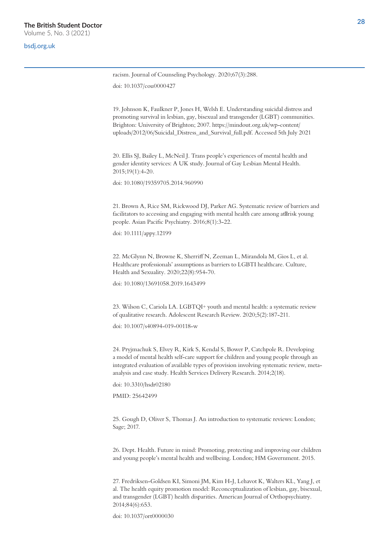#### bsdj.org.uk

racism. Journal of Counseling Psychology. 2020;67(3):288.

doi: 10.1037/cou0000427

19. Johnson K, Faulkner P, Jones H, Welsh E. Understanding suicidal distress and promoting survival in lesbian, gay, bisexual and transgender (LGBT) communities. Brighton: University of Brighton; 2007. https://mindout.org.uk/wp-content/ uploads/2012/06/Suicidal\_Distress\_and\_Survival\_full.pdf. Accessed 5th July 2021

20. Ellis SJ, Bailey L, McNeil J. Trans people's experiences of mental health and gender identity services: A UK study. Journal of Gay Lesbian Mental Health. 2015;19(1):4-20.

doi: 10.1080/19359705.2014.960990

21. Brown A, Rice SM, Rickwood DJ, Parker AG. Systematic review of barriers and facilitators to accessing and engaging with mental health care among at risk young people. Asian Pacific Psychiatry. 2016;8(1):3-22.

doi: 10.1111/appy.12199

22. McGlynn N, Browne K, Sherriff N, Zeeman L, Mirandola M, Gios L, et al. Healthcare professionals' assumptions as barriers to LGBTI healthcare. Culture, Health and Sexuality. 2020;22(8):954-70.

doi: 10.1080/13691058.2019.1643499

23. Wilson C, Cariola LA. LGBTQI+ youth and mental health: a systematic review of qualitative research. Adolescent Research Review. 2020;5(2):187-211.

doi: 10.1007/s40894-019-00118-w

24. Pryjmachuk S, Elvey R, Kirk S, Kendal S, Bower P, Catchpole R. Developing a model of mental health self-care support for children and young people through an integrated evaluation of available types of provision involving systematic review, metaanalysis and case study. Health Services Delivery Research. 2014;2(18).

doi: 10.3310/hsdr02180

PMID: 25642499

25. Gough D, Oliver S, Thomas J. An introduction to systematic reviews: London; Sage; 2017.

26. Dept. Health. Future in mind: Promoting, protecting and improving our children and young people's mental health and wellbeing. London; HM Government. 2015.

27. Fredriksen-Goldsen KI, Simoni JM, Kim H-J, Lehavot K, Walters KL, Yang J, et al. The health equity promotion model: Reconceptualization of lesbian, gay, bisexual, and transgender (LGBT) health disparities. American Journal of Orthopsychiatry. 2014;84(6):653.

doi: 10.1037/ort0000030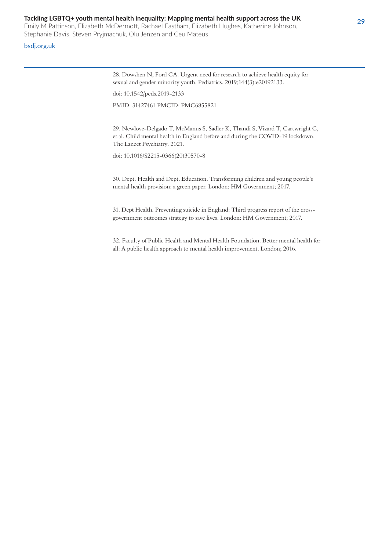Emily M Pattinson, Elizabeth McDermott, Rachael Eastham, Elizabeth Hughes, Katherine Johnson, Stephanie Davis, Steven Pryjmachuk, Olu Jenzen and Ceu Mateus

#### bsdj.org.uk

28. Dowshen N, Ford CA. Urgent need for research to achieve health equity for sexual and gender minority youth. Pediatrics. 2019;144(3):e20192133.

doi: 10.1542/peds.2019-2133

PMID: 31427461 PMCID: PMC6855821

29. Newlove-Delgado T, McManus S, Sadler K, Thandi S, Vizard T, Cartwright C, et al. Child mental health in England before and during the COVID-19 lockdown. The Lancet Psychiatry. 2021.

doi: 10.1016/S2215-0366(20)30570-8

30. Dept. Health and Dept. Education. Transforming children and young people's mental health provision: a green paper. London: HM Government; 2017.

31. Dept Health. Preventing suicide in England: Third progress report of the crossgovernment outcomes strategy to save lives. London: HM Government; 2017.

32. Faculty of Public Health and Mental Health Foundation. Better mental health for all: A public health approach to mental health improvement. London; 2016.